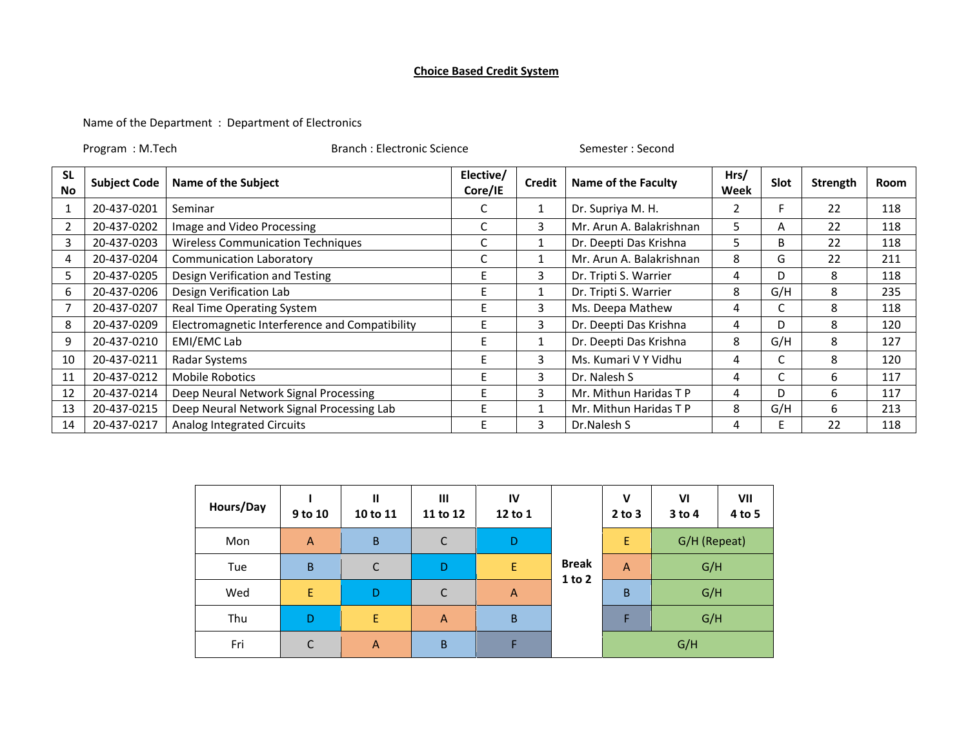## **Choice Based Credit System**

Name of the Department : Department of Electronics

Program : M.Tech Branch : Electronic Science Semester : Second

| <b>SL</b><br><b>No</b> | <b>Subject Code</b> | <b>Name of the Subject</b>                     | Elective/<br>Core/IE | <b>Credit</b> | <b>Name of the Faculty</b> | Hrs/<br>Week | Slot | Strength | Room |
|------------------------|---------------------|------------------------------------------------|----------------------|---------------|----------------------------|--------------|------|----------|------|
|                        | 20-437-0201         | Seminar                                        | J                    | 1             | Dr. Supriya M. H.          | 2            |      | 22       | 118  |
| $\overline{2}$         | 20-437-0202         | Image and Video Processing                     | Ć                    | 3             | Mr. Arun A. Balakrishnan   | 5            | A    | 22       | 118  |
| 3                      | 20-437-0203         | <b>Wireless Communication Techniques</b>       | Ć                    |               | Dr. Deepti Das Krishna     | 5            | B    | 22       | 118  |
| 4                      | 20-437-0204         | <b>Communication Laboratory</b>                | Ć                    |               | Mr. Arun A. Balakrishnan   | 8            | G    | 22       | 211  |
| 5                      | 20-437-0205         | Design Verification and Testing                |                      | 3             | Dr. Tripti S. Warrier      | 4            | D    | 8        | 118  |
| 6                      | 20-437-0206         | Design Verification Lab                        |                      |               | Dr. Tripti S. Warrier      | 8            | G/H  | 8        | 235  |
|                        | 20-437-0207         | Real Time Operating System                     |                      | 3             | Ms. Deepa Mathew           | 4            |      | 8        | 118  |
| 8                      | 20-437-0209         | Electromagnetic Interference and Compatibility |                      | 3             | Dr. Deepti Das Krishna     | 4            | D    | 8        | 120  |
| 9                      | 20-437-0210         | EMI/EMC Lab                                    |                      | $\mathbf{1}$  | Dr. Deepti Das Krishna     | 8            | G/H  | 8        | 127  |
| 10                     | 20-437-0211         | Radar Systems                                  |                      | 3             | Ms. Kumari V Y Vidhu       | 4            |      | 8        | 120  |
| 11                     | 20-437-0212         | <b>Mobile Robotics</b>                         |                      | 3             | Dr. Nalesh S               | 4            |      | 6        | 117  |
| 12                     | 20-437-0214         | Deep Neural Network Signal Processing          |                      | 3             | Mr. Mithun Haridas T P     | 4            | D    | 6        | 117  |
| 13                     | 20-437-0215         | Deep Neural Network Signal Processing Lab      |                      | 1             | Mr. Mithun Haridas TP      | 8            | G/H  | 6        | 213  |
| 14                     | 20-437-0217         | Analog Integrated Circuits                     |                      | 3             | Dr.Nalesh S                | 4            |      | 22       | 118  |

| Hours/Day | 9 to 10        | $\mathbf{II}$<br>10 to 11 | III<br>IV<br>11 to 12<br>12 to 1 |                |              | $\mathbf v$<br>$2$ to $3$ | VI<br>$3$ to 4 | VII<br>4 to 5 |  |
|-----------|----------------|---------------------------|----------------------------------|----------------|--------------|---------------------------|----------------|---------------|--|
| Mon       | $\overline{A}$ | B                         | C                                | D              |              | Ε                         | G/H (Repeat)   |               |  |
| Tue       | B              | C                         | D                                | E              | <b>Break</b> | $\overline{A}$            | G/H            |               |  |
| Wed       | E              | D                         | C                                | $\overline{A}$ | $1$ to $2$   | B                         | G/H            |               |  |
| Thu       | D              | E                         | $\overline{A}$                   | $\overline{B}$ |              | F                         | G/H            |               |  |
| Fri       | C              | $\overline{A}$            | $\sf B$                          | F              |              |                           | G/H            |               |  |